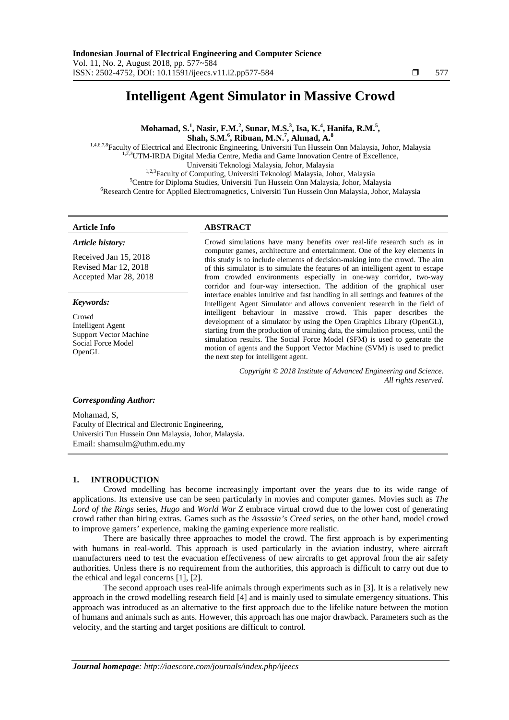# **Intelligent Agent Simulator in Massive Crowd**

**Mohamad, S.<sup>1</sup> , Nasir, F.M.<sup>2</sup> , Sunar, M.S.<sup>3</sup> , Isa, K.<sup>4</sup> , Hanifa, R.M.<sup>5</sup> , Shah, S.M.<sup>6</sup> , Ribuan, M.N.<sup>7</sup> , Ahmad, A.<sup>8</sup>** 1,4,6,7,8Faculty of Electrical and Electronic Engineering, Universiti Tun Hussein Onn Malaysia, Johor, Malaysia

<sup>2,3</sup>UTM-IRDA Digital Media Centre, Media and Game Innovation Centre of Excellence, Universiti Teknologi Malaysia, Johor, Malaysia <sup>1,2,3</sup>Faculty of Computing, Universiti Teknologi Malaysia, Johor, Malaysia <sup>5</sup>Centre for Diploma Studies, Universiti Tun Hussein Onn Malaysia, Johor, Malaysia <sup>6</sup>Research Centre for Applied Electromagnetics, Universiti Tun Hussein Onn Malaysia, Johor, Malaysia

### *Article history:*

Received Jan 15, 2018 Revised Mar 12, 2018 Accepted Mar 28, 2018

#### *Keywords:*

Crowd Intelligent Agent Support Vector Machine Social Force Model OpenGL

#### **Article Info ABSTRACT**

Crowd simulations have many benefits over real-life research such as in computer games, architecture and entertainment. One of the key elements in this study is to include elements of decision-making into the crowd. The aim of this simulator is to simulate the features of an intelligent agent to escape from crowded environments especially in one-way corridor, two-way corridor and four-way intersection. The addition of the graphical user interface enables intuitive and fast handling in all settings and features of the Intelligent Agent Simulator and allows convenient research in the field of intelligent behaviour in massive crowd. This paper describes the development of a simulator by using the Open Graphics Library (OpenGL), starting from the production of training data, the simulation process, until the simulation results. The Social Force Model (SFM) is used to generate the motion of agents and the Support Vector Machine (SVM) is used to predict the next step for intelligent agent.

> *Copyright © 2018 Institute of Advanced Engineering and Science. All rights reserved.*

#### *Corresponding Author:*

Mohamad, S, Faculty of Electrical and Electronic Engineering, Universiti Tun Hussein Onn Malaysia, Johor, Malaysia. Email: shamsulm@uthm.edu.my

# **1. INTRODUCTION**

Crowd modelling has become increasingly important over the years due to its wide range of applications. Its extensive use can be seen particularly in movies and computer games. Movies such as *The Lord of the Rings* series, *Hugo* and *World War Z* embrace virtual crowd due to the lower cost of generating crowd rather than hiring extras. Games such as the *Assassin's Creed* series, on the other hand, model crowd to improve gamers' experience, making the gaming experience more realistic.

There are basically three approaches to model the crowd. The first approach is by experimenting with humans in real-world. This approach is used particularly in the aviation industry, where aircraft manufacturers need to test the evacuation effectiveness of new aircrafts to get approval from the air safety authorities. Unless there is no requirement from the authorities, this approach is difficult to carry out due to the ethical and legal concerns [1], [2].

The second approach uses real-life animals through experiments such as in [3]. It is a relatively new approach in the crowd modelling research field [4] and is mainly used to simulate emergency situations. This approach was introduced as an alternative to the first approach due to the lifelike nature between the motion of humans and animals such as ants. However, this approach has one major drawback. Parameters such as the velocity, and the starting and target positions are difficult to control.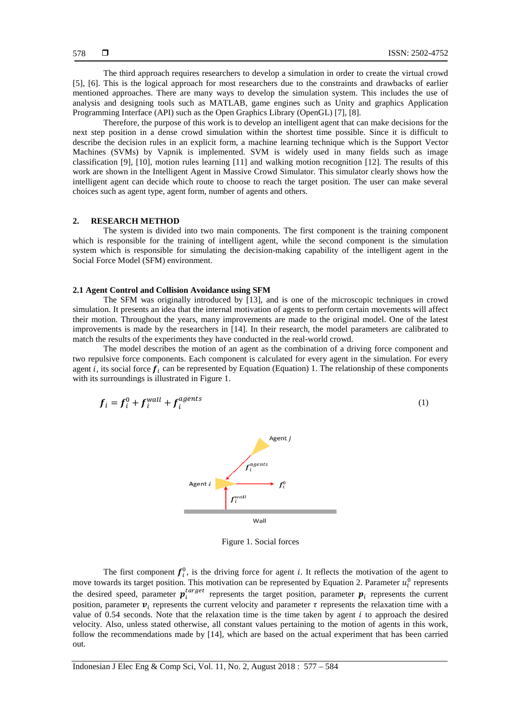The third approach requires researchers to develop a simulation in order to create the virtual crowd [5], [6]. This is the logical approach for most researchers due to the constraints and drawbacks of earlier mentioned approaches. There are many ways to develop the simulation system. This includes the use of analysis and designing tools such as MATLAB, game engines such as Unity and graphics Application Programming Interface (API) such as the Open Graphics Library (OpenGL) [7], [8].

Therefore, the purpose of this work is to develop an intelligent agent that can make decisions for the next step position in a dense crowd simulation within the shortest time possible. Since it is difficult to describe the decision rules in an explicit form, a machine learning technique which is the Support Vector Machines (SVMs) by Vapnik is implemented. SVM is widely used in many fields such as image classification [9], [10], motion rules learning [11] and walking motion recognition [12]. The results of this work are shown in the Intelligent Agent in Massive Crowd Simulator. This simulator clearly shows how the intelligent agent can decide which route to choose to reach the target position. The user can make several choices such as agent type, agent form, number of agents and others.

# **2. RESEARCH METHOD**

The system is divided into two main components. The first component is the training component which is responsible for the training of intelligent agent, while the second component is the simulation system which is responsible for simulating the decision-making capability of the intelligent agent in the Social Force Model (SFM) environment.

#### **2.1 Agent Control and Collision Avoidance using SFM**

The SFM was originally introduced by [13], and is one of the microscopic techniques in crowd simulation. It presents an idea that the internal motivation of agents to perform certain movements will affect their motion. Throughout the years, many improvements are made to the original model. One of the latest improvements is made by the researchers in [14]. In their research, the model parameters are calibrated to match the results of the experiments they have conducted in the real-world crowd.

The model describes the motion of an agent as the combination of a driving force component and two repulsive force components. Each component is calculated for every agent in the simulation. For every agent *i*, its social force  $f_i$  can be represented by Equation (Equation) 1. The relationship of these components with its surroundings is illustrated in Figure 1.

$$
f_i = f_i^0 + f_i^{wall} + f_i^{agents}
$$
 (1)



Figure 1. Social forces

The first component  $f_i^0$ , is the driving force for agent *i*. It reflects the motivation of the agent to move towards its target position. This motivation can be represented by Equation 2. Parameter  $u_i^0$  represents the desired speed, parameter  $p_i^{target}$  represents the target position, parameter  $p_i$  represents the current position, parameter  $v_i$  represents the current velocity and parameter  $\tau$  represents the relaxation time with a value of  $0.54$  seconds. Note that the relaxation time is the time taken by agent  $i$  to approach the desired velocity. Also, unless stated otherwise, all constant values pertaining to the motion of agents in this work, follow the recommendations made by [14], which are based on the actual experiment that has been carried out.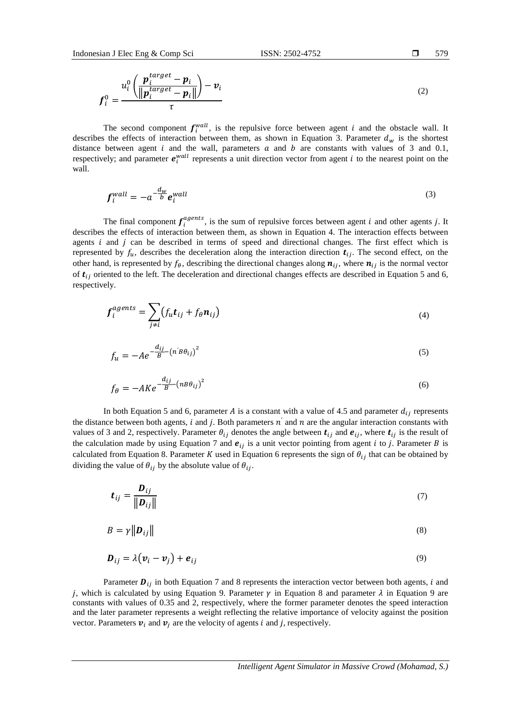$$
f_i^0 = \frac{u_i^0 \left( \frac{\boldsymbol{p}_i^{target} - \boldsymbol{p}_i}{\|\boldsymbol{p}_i^{target} - \boldsymbol{p}_i\|} \right) - \boldsymbol{v}_i}{\tau}
$$
(2)

The second component  $f_i^{wall}$ , is the repulsive force between agent *i* and the obstacle wall. It describes the effects of interaction between them, as shown in Equation 3. Parameter  $d_w$  is the shortest distance between agent  $i$  and the wall, parameters  $a$  and  $b$  are constants with values of 3 and 0.1, respectively; and parameter  $e_i^{wall}$  represents a unit direction vector from agent *i* to the nearest point on the wall.

$$
f_i^{wall} = -a^{-\frac{d_w}{b}} e_i^{wall} \tag{3}
$$

The final component  $f_i^{agents}$ , is the sum of repulsive forces between agent *i* and other agents *j*. It describes the effects of interaction between them, as shown in Equation 4. The interaction effects between agents  $i$  and  $j$  can be described in terms of speed and directional changes. The first effect which is represented by  $f_u$ , describes the deceleration along the interaction direction  $t_{ij}$ . The second effect, on the other hand, is represented by  $f_\theta$ , describing the directional changes along  $n_{ij}$ , where  $n_{ij}$  is the normal vector of  $t_{ij}$  oriented to the left. The deceleration and directional changes effects are described in Equation 5 and 6, respectively.

$$
f_i^{agents} = \sum_{j \neq i} (f_u t_{ij} + f_\theta n_{ij})
$$
\n(4)

$$
f_u = -Ae^{-\frac{di_j}{B} - (n'B\theta_{ij})^2}
$$
\n<sup>(5)</sup>

$$
f_{\theta} = -AKe^{-\frac{d_{ij}}{B} - (nB\theta_{ij})^2}
$$
 (6)

In both Equation 5 and 6, parameter A is a constant with a value of 4.5 and parameter  $d_{ij}$  represents the distance between both agents, i and j. Both parameters  $n'$  and  $n$  are the angular interaction constants with values of 3 and 2, respectively. Parameter  $\theta_{ij}$  denotes the angle between  $t_{ij}$  and  $e_{ij}$ , where  $t_{ij}$  is the result of the calculation made by using Equation 7 and  $e_{ij}$  is a unit vector pointing from agent *i* to *j*. Parameter *B* is calculated from Equation 8. Parameter K used in Equation 6 represents the sign of  $\theta_{ij}$  that can be obtained by dividing the value of  $\theta_{ij}$  by the absolute value of  $\theta_{ij}$ .

$$
\boldsymbol{t}_{ij} = \frac{\boldsymbol{D}_{ij}}{\|\boldsymbol{D}_{ij}\|} \tag{7}
$$

$$
B = \gamma \|\mathbf{D}_{ij}\| \tag{8}
$$

$$
\boldsymbol{D}_{ij} = \lambda (\boldsymbol{v}_i - \boldsymbol{v}_j) + \boldsymbol{e}_{ij} \tag{9}
$$

Parameter  $D_{ij}$  in both Equation 7 and 8 represents the interaction vector between both agents, *i* and *j*, which is calculated by using Equation 9. Parameter  $\gamma$  in Equation 8 and parameter  $\lambda$  in Equation 9 are constants with values of 0.35 and 2, respectively, where the former parameter denotes the speed interaction and the later parameter represents a weight reflecting the relative importance of velocity against the position vector. Parameters  $v_i$  and  $v_j$  are the velocity of agents *i* and *j*, respectively.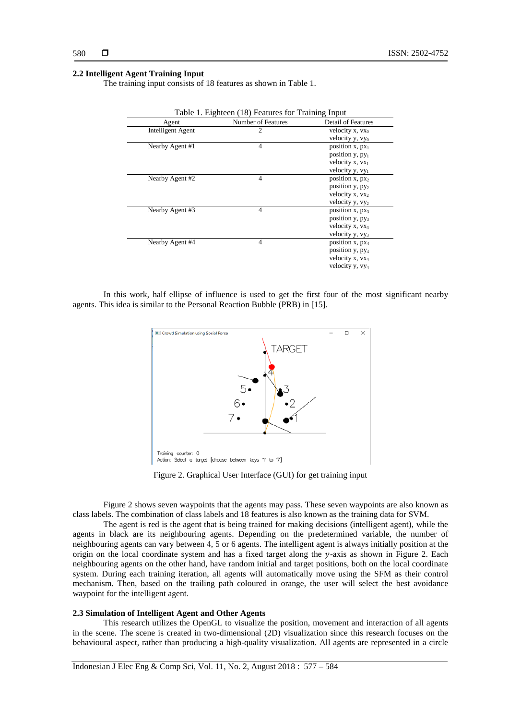#### **2.2 Intelligent Agent Training Input**

The training input consists of 18 features as shown in Table 1.

| Agent                    | Number of Features | <b>Detail of Features</b>   |
|--------------------------|--------------------|-----------------------------|
| <b>Intelligent Agent</b> | 2                  | velocity x, vx <sub>0</sub> |
|                          |                    | velocity y, vyo             |
| Nearby Agent #1          | $\overline{4}$     | position $x, px_1$          |
|                          |                    | position y, py <sub>1</sub> |
|                          |                    | velocity x, vx1             |
|                          |                    | velocity y, vy <sub>1</sub> |
| Nearby Agent #2          | $\overline{4}$     | position $x, px_2$          |
|                          |                    | position $y, py_2$          |
|                          |                    | velocity $x, yx_2$          |
|                          |                    | velocity y, vy2             |
| Nearby Agent #3          | $\overline{4}$     | position $x, px_3$          |
|                          |                    | position y, py <sub>3</sub> |
|                          |                    | velocity x, vx <sub>3</sub> |
|                          |                    | velocity y, vy <sub>3</sub> |
| Nearby Agent #4          | $\overline{4}$     | position $x, px_4$          |
|                          |                    | position y, py <sub>4</sub> |
|                          |                    | velocity x, vx <sub>4</sub> |
|                          |                    | velocity y, vy <sub>4</sub> |

Table 1. Eighteen (18) Features for Training Input

In this work, half ellipse of influence is used to get the first four of the most significant nearby agents. This idea is similar to the Personal Reaction Bubble (PRB) in [15].



Figure 2. Graphical User Interface (GUI) for get training input

Figure 2 shows seven waypoints that the agents may pass. These seven waypoints are also known as class labels. The combination of class labels and 18 features is also known as the training data for SVM.

The agent is red is the agent that is being trained for making decisions (intelligent agent), while the agents in black are its neighbouring agents. Depending on the predetermined variable, the number of neighbouring agents can vary between 4, 5 or 6 agents. The intelligent agent is always initially position at the origin on the local coordinate system and has a fixed target along the  $y$ -axis as shown in Figure 2. Each neighbouring agents on the other hand, have random initial and target positions, both on the local coordinate system. During each training iteration, all agents will automatically move using the SFM as their control mechanism. Then, based on the trailing path coloured in orange, the user will select the best avoidance waypoint for the intelligent agent.

# **2.3 Simulation of Intelligent Agent and Other Agents**

This research utilizes the OpenGL to visualize the position, movement and interaction of all agents in the scene. The scene is created in two-dimensional (2D) visualization since this research focuses on the behavioural aspect, rather than producing a high-quality visualization. All agents are represented in a circle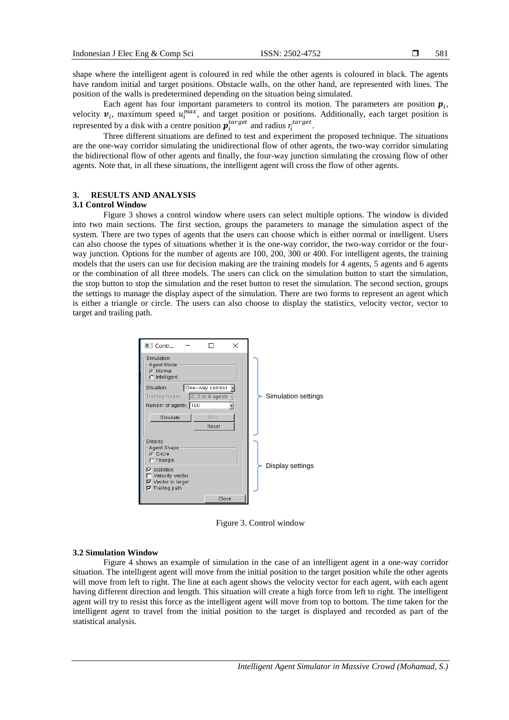shape where the intelligent agent is coloured in red while the other agents is coloured in black. The agents have random initial and target positions. Obstacle walls, on the other hand, are represented with lines. The position of the walls is predetermined depending on the situation being simulated.

Each agent has four important parameters to control its motion. The parameters are position  $p_i$ , velocity  $v_i$ , maximum speed  $u_i^{max}$ , and target position or positions. Additionally, each target position is represented by a disk with a centre position  $p_i^{target}$  and radius  $r_i^{target}$ .

Three different situations are defined to test and experiment the proposed technique. The situations are the one-way corridor simulating the unidirectional flow of other agents, the two-way corridor simulating the bidirectional flow of other agents and finally, the four-way junction simulating the crossing flow of other agents. Note that, in all these situations, the intelligent agent will cross the flow of other agents.

# **3. RESULTS AND ANALYSIS**

# **3.1 Control Window**

Figure 3 shows a control window where users can select multiple options. The window is divided into two main sections. The first section, groups the parameters to manage the simulation aspect of the system. There are two types of agents that the users can choose which is either normal or intelligent. Users can also choose the types of situations whether it is the one-way corridor, the two-way corridor or the fourway junction. Options for the number of agents are 100, 200, 300 or 400. For intelligent agents, the training models that the users can use for decision making are the training models for 4 agents, 5 agents and 6 agents or the combination of all three models. The users can click on the simulation button to start the simulation, the stop button to stop the simulation and the reset button to reset the simulation. The second section, groups the settings to manage the display aspect of the simulation. There are two forms to represent an agent which is either a triangle or circle. The users can also choose to display the statistics, velocity vector, vector to target and trailing path.



Figure 3. Control window

#### **3.2 Simulation Window**

Figure 4 shows an example of simulation in the case of an intelligent agent in a one-way corridor situation. The intelligent agent will move from the initial position to the target position while the other agents will move from left to right. The line at each agent shows the velocity vector for each agent, with each agent having different direction and length. This situation will create a high force from left to right. The intelligent agent will try to resist this force as the intelligent agent will move from top to bottom. The time taken for the intelligent agent to travel from the initial position to the target is displayed and recorded as part of the statistical analysis.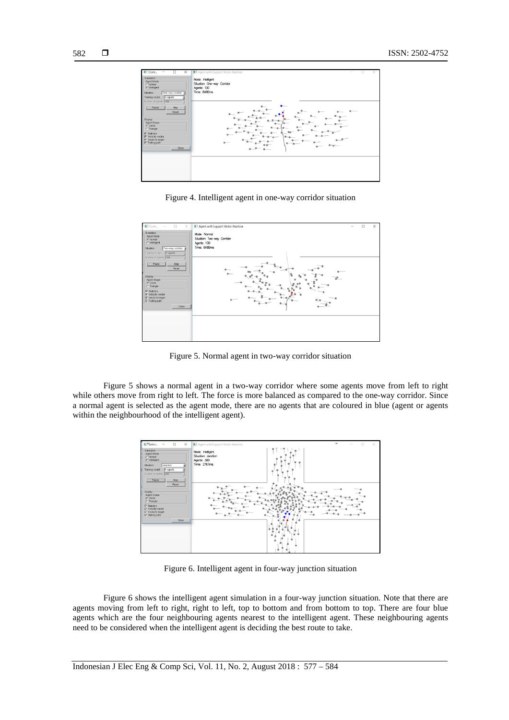

Figure 4. Intelligent agent in one-way corridor situation



Figure 5. Normal agent in two-way corridor situation

Figure 5 shows a normal agent in a two-way corridor where some agents move from left to right while others move from right to left. The force is more balanced as compared to the one-way corridor. Since a normal agent is selected as the agent mode, there are no agents that are coloured in blue (agent or agents within the neighbourhood of the intelligent agent).



Figure 6. Intelligent agent in four-way junction situation

Figure 6 shows the intelligent agent simulation in a four-way junction situation. Note that there are agents moving from left to right, right to left, top to bottom and from bottom to top. There are four blue agents which are the four neighbouring agents nearest to the intelligent agent. These neighbouring agents need to be considered when the intelligent agent is deciding the best route to take.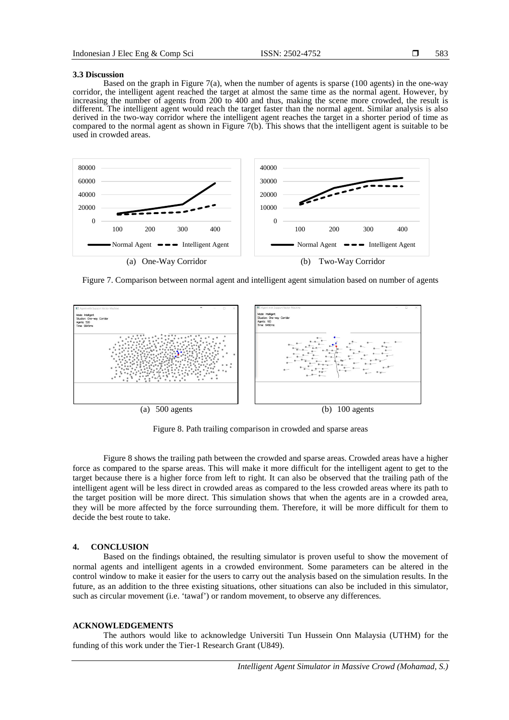#### **3.3 Discussion**

Based on the graph in Figure 7(a), when the number of agents is sparse (100 agents) in the one-way corridor, the intelligent agent reached the target at almost the same time as the normal agent. However, by increasing the number of agents from 200 to 400 and thus, making the scene more crowded, the result is different. The intelligent agent would reach the target faster than the normal agent. Similar analysis is also derived in the two-way corridor where the intelligent agent reaches the target in a shorter period of time as compared to the normal agent as shown in Figure 7(b). This shows that the intelligent agent is suitable to be used in crowded areas.



Figure 7. Comparison between normal agent and intelligent agent simulation based on number of agents



Figure 8. Path trailing comparison in crowded and sparse areas

Figure 8 shows the trailing path between the crowded and sparse areas. Crowded areas have a higher force as compared to the sparse areas. This will make it more difficult for the intelligent agent to get to the target because there is a higher force from left to right. It can also be observed that the trailing path of the intelligent agent will be less direct in crowded areas as compared to the less crowded areas where its path to the target position will be more direct. This simulation shows that when the agents are in a crowded area, they will be more affected by the force surrounding them. Therefore, it will be more difficult for them to decide the best route to take.

#### **4. CONCLUSION**

Based on the findings obtained, the resulting simulator is proven useful to show the movement of normal agents and intelligent agents in a crowded environment. Some parameters can be altered in the control window to make it easier for the users to carry out the analysis based on the simulation results. In the future, as an addition to the three existing situations, other situations can also be included in this simulator, such as circular movement (i.e. 'tawaf') or random movement, to observe any differences.

#### **ACKNOWLEDGEMENTS**

The authors would like to acknowledge Universiti Tun Hussein Onn Malaysia (UTHM) for the funding of this work under the Tier-1 Research Grant (U849).